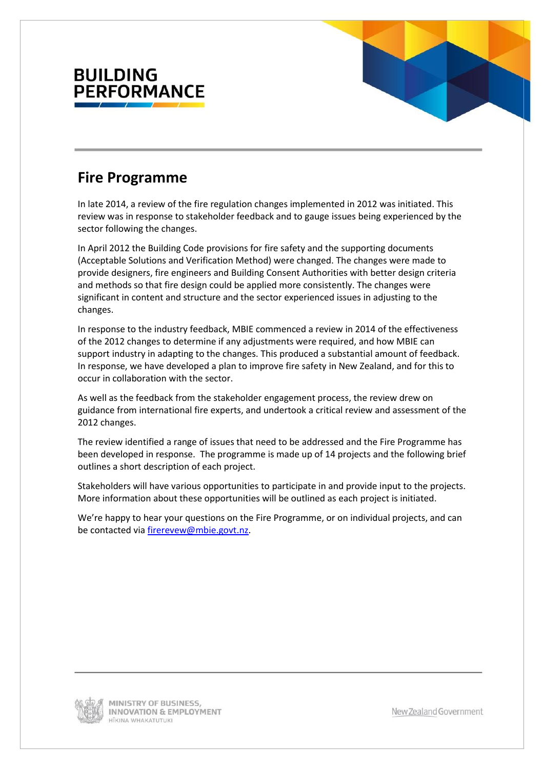

### **Fire Programme**

In late 2014, a review of the fire regulation changes implemented in 2012 was initiated. This review was in response to stakeholder feedback and to gauge issues being experienced by the sector following the changes.

In April 2012 the Building Code provisions for fire safety and the supporting documents (Acceptable Solutions and Verification Method) were changed. The changes were made to provide designers, fire engineers and Building Consent Authorities with better design criteria and methods so that fire design could be applied more consistently. The changes were significant in content and structure and the sector experienced issues in adjusting to the changes.

In response to the industry feedback, MBIE commenced a review in 2014 of the effectiveness of the 2012 changes to determine if any adjustments were required, and how MBIE can support industry in adapting to the changes. This produced a substantial amount of feedback. In response, we have developed a plan to improve fire safety in New Zealand, and for this to occur in collaboration with the sector.

As well as the feedback from the stakeholder engagement process, the review drew on guidance from international fire experts, and undertook a critical review and assessment of the 2012 changes.

The review identified a range of issues that need to be addressed and the Fire Programme has been developed in response. The programme is made up of 14 projects and the following brief outlines a short description of each project.

Stakeholders will have various opportunities to participate in and provide input to the projects. More information about these opportunities will be outlined as each project is initiated.

We're happy to hear your questions on the Fire Programme, or on individual projects, and can be contacted vi[a firerevew@mbie.govt.nz.](mailto:firerevew@mbie.govt.nz)

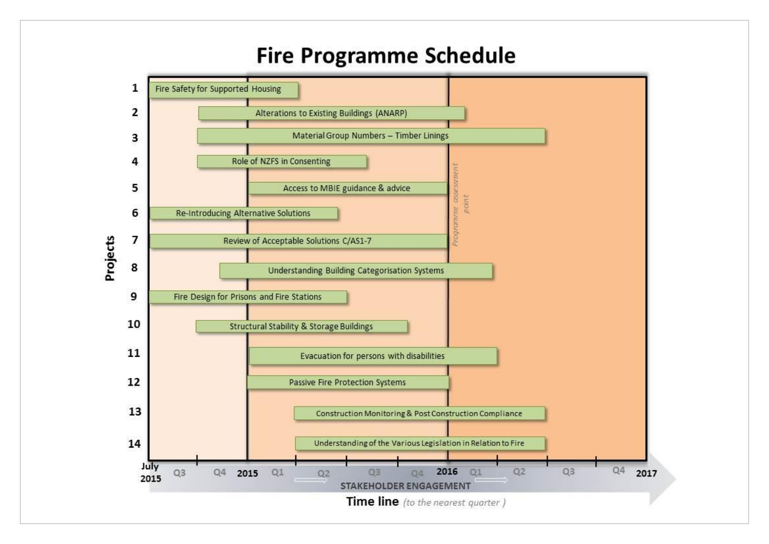# **Fire Programme Schedule**

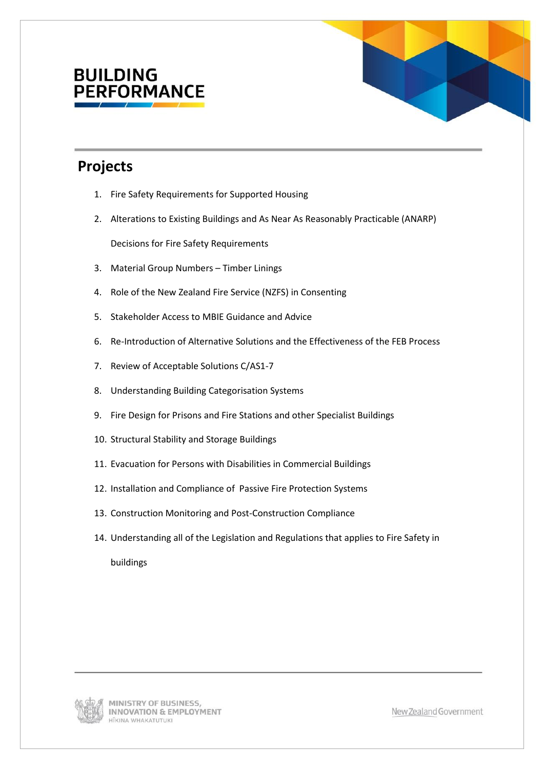## **BUILDING ERFORMANCE**



## **Projects**

- 1. Fire Safety Requirements for Supported Housing
- 2. Alterations to Existing Buildings and As Near As Reasonably Practicable (ANARP)

Decisions for Fire Safety Requirements

- 3. Material Group Numbers Timber Linings
- 4. Role of the New Zealand Fire Service (NZFS) in Consenting
- 5. Stakeholder Access to MBIE Guidance and Advice
- 6. Re-Introduction of Alternative Solutions and the Effectiveness of the FEB Process
- 7. Review of Acceptable Solutions C/AS1-7
- 8. Understanding Building Categorisation Systems
- 9. Fire Design for Prisons and Fire Stations and other Specialist Buildings
- 10. Structural Stability and Storage Buildings
- 11. Evacuation for Persons with Disabilities in Commercial Buildings
- 12. Installation and Compliance of Passive Fire Protection Systems
- 13. Construction Monitoring and Post-Construction Compliance
- 14. Understanding all of the Legislation and Regulations that applies to Fire Safety in

buildings

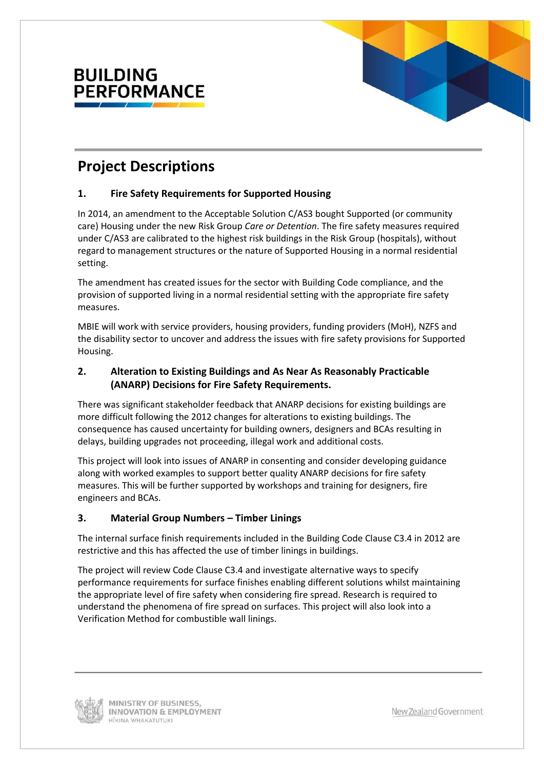



## **Project Descriptions**

#### **1. Fire Safety Requirements for Supported Housing**

In 2014, an amendment to the Acceptable Solution C/AS3 bought Supported (or community care) Housing under the new Risk Group *Care or Detention*. The fire safety measures required under C/AS3 are calibrated to the highest risk buildings in the Risk Group (hospitals), without regard to management structures or the nature of Supported Housing in a normal residential setting.

The amendment has created issues for the sector with Building Code compliance, and the provision of supported living in a normal residential setting with the appropriate fire safety measures.

MBIE will work with service providers, housing providers, funding providers (MoH), NZFS and the disability sector to uncover and address the issues with fire safety provisions for Supported Housing.

#### **2. Alteration to Existing Buildings and As Near As Reasonably Practicable (ANARP) Decisions for Fire Safety Requirements.**

There was significant stakeholder feedback that ANARP decisions for existing buildings are more difficult following the 2012 changes for alterations to existing buildings. The consequence has caused uncertainty for building owners, designers and BCAs resulting in delays, building upgrades not proceeding, illegal work and additional costs.

This project will look into issues of ANARP in consenting and consider developing guidance along with worked examples to support better quality ANARP decisions for fire safety measures. This will be further supported by workshops and training for designers, fire engineers and BCAs.

#### **3. Material Group Numbers – Timber Linings**

The internal surface finish requirements included in the Building Code Clause C3.4 in 2012 are restrictive and this has affected the use of timber linings in buildings.

The project will review Code Clause C3.4 and investigate alternative ways to specify performance requirements for surface finishes enabling different solutions whilst maintaining the appropriate level of fire safety when considering fire spread. Research is required to understand the phenomena of fire spread on surfaces. This project will also look into a Verification Method for combustible wall linings.

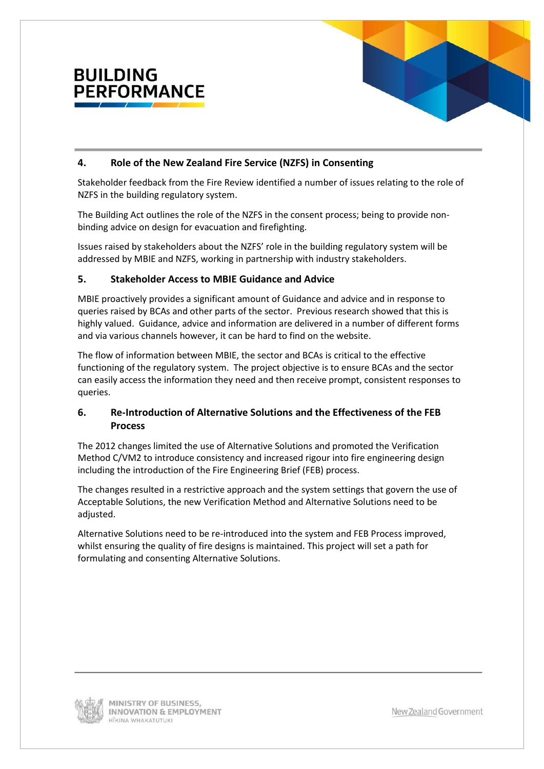

#### **4. Role of the New Zealand Fire Service (NZFS) in Consenting**

Stakeholder feedback from the Fire Review identified a number of issues relating to the role of NZFS in the building regulatory system.

The Building Act outlines the role of the NZFS in the consent process; being to provide nonbinding advice on design for evacuation and firefighting.

Issues raised by stakeholders about the NZFS' role in the building regulatory system will be addressed by MBIE and NZFS, working in partnership with industry stakeholders.

#### **5. Stakeholder Access to MBIE Guidance and Advice**

MBIE proactively provides a significant amount of Guidance and advice and in response to queries raised by BCAs and other parts of the sector. Previous research showed that this is highly valued. Guidance, advice and information are delivered in a number of different forms and via various channels however, it can be hard to find on the website.

The flow of information between MBIE, the sector and BCAs is critical to the effective functioning of the regulatory system. The project objective is to ensure BCAs and the sector can easily access the information they need and then receive prompt, consistent responses to queries.

#### **6. Re-Introduction of Alternative Solutions and the Effectiveness of the FEB Process**

The 2012 changes limited the use of Alternative Solutions and promoted the Verification Method C/VM2 to introduce consistency and increased rigour into fire engineering design including the introduction of the Fire Engineering Brief (FEB) process.

The changes resulted in a restrictive approach and the system settings that govern the use of Acceptable Solutions, the new Verification Method and Alternative Solutions need to be adjusted.

Alternative Solutions need to be re-introduced into the system and FEB Process improved, whilst ensuring the quality of fire designs is maintained. This project will set a path for formulating and consenting Alternative Solutions.

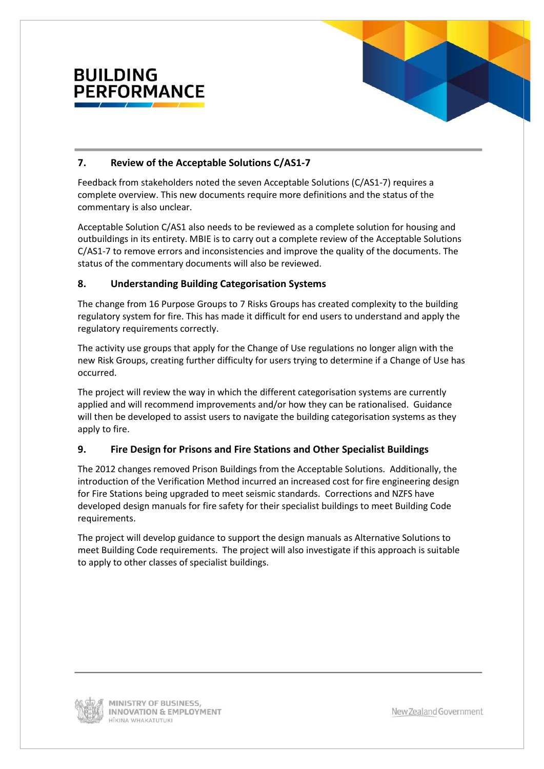

#### **7. Review of the Acceptable Solutions C/AS1-7**

Feedback from stakeholders noted the seven Acceptable Solutions (C/AS1-7) requires a complete overview. This new documents require more definitions and the status of the commentary is also unclear.

Acceptable Solution C/AS1 also needs to be reviewed as a complete solution for housing and outbuildings in its entirety. MBIE is to carry out a complete review of the Acceptable Solutions C/AS1-7 to remove errors and inconsistencies and improve the quality of the documents. The status of the commentary documents will also be reviewed.

#### **8. Understanding Building Categorisation Systems**

The change from 16 Purpose Groups to 7 Risks Groups has created complexity to the building regulatory system for fire. This has made it difficult for end users to understand and apply the regulatory requirements correctly.

The activity use groups that apply for the Change of Use regulations no longer align with the new Risk Groups, creating further difficulty for users trying to determine if a Change of Use has occurred.

The project will review the way in which the different categorisation systems are currently applied and will recommend improvements and/or how they can be rationalised. Guidance will then be developed to assist users to navigate the building categorisation systems as they apply to fire.

#### **9. Fire Design for Prisons and Fire Stations and Other Specialist Buildings**

The 2012 changes removed Prison Buildings from the Acceptable Solutions. Additionally, the introduction of the Verification Method incurred an increased cost for fire engineering design for Fire Stations being upgraded to meet seismic standards. Corrections and NZFS have developed design manuals for fire safety for their specialist buildings to meet Building Code requirements.

The project will develop guidance to support the design manuals as Alternative Solutions to meet Building Code requirements. The project will also investigate if this approach is suitable to apply to other classes of specialist buildings.

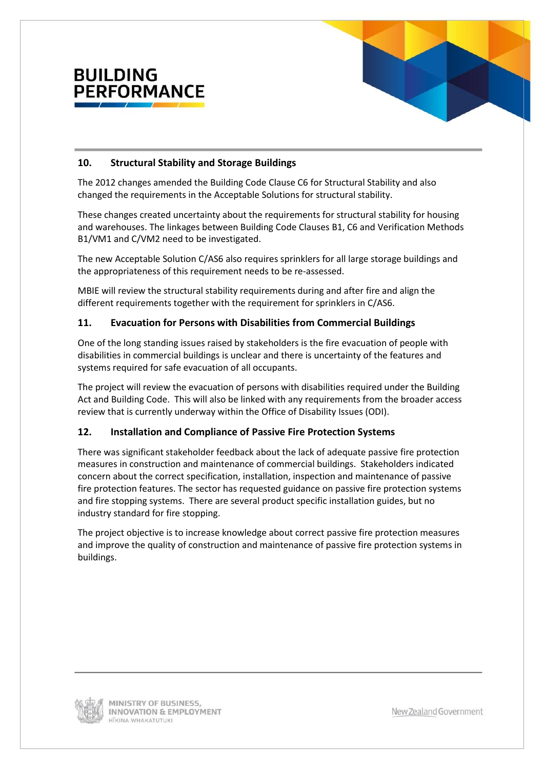

#### **10. Structural Stability and Storage Buildings**

The 2012 changes amended the Building Code Clause C6 for Structural Stability and also changed the requirements in the Acceptable Solutions for structural stability.

These changes created uncertainty about the requirements for structural stability for housing and warehouses. The linkages between Building Code Clauses B1, C6 and Verification Methods B1/VM1 and C/VM2 need to be investigated.

The new Acceptable Solution C/AS6 also requires sprinklers for all large storage buildings and the appropriateness of this requirement needs to be re-assessed.

MBIE will review the structural stability requirements during and after fire and align the different requirements together with the requirement for sprinklers in C/AS6.

#### **11. Evacuation for Persons with Disabilities from Commercial Buildings**

One of the long standing issues raised by stakeholders is the fire evacuation of people with disabilities in commercial buildings is unclear and there is uncertainty of the features and systems required for safe evacuation of all occupants.

The project will review the evacuation of persons with disabilities required under the Building Act and Building Code. This will also be linked with any requirements from the broader access review that is currently underway within the Office of Disability Issues (ODI).

#### **12. Installation and Compliance of Passive Fire Protection Systems**

There was significant stakeholder feedback about the lack of adequate passive fire protection measures in construction and maintenance of commercial buildings. Stakeholders indicated concern about the correct specification, installation, inspection and maintenance of passive fire protection features. The sector has requested guidance on passive fire protection systems and fire stopping systems. There are several product specific installation guides, but no industry standard for fire stopping.

The project objective is to increase knowledge about correct passive fire protection measures and improve the quality of construction and maintenance of passive fire protection systems in buildings.